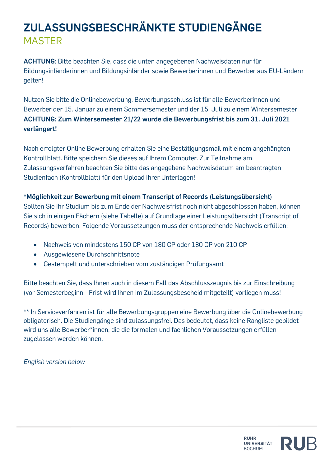## **ZULASSUNGSBESCHRÄNKTE STUDIENGÄNGE** MASTER

**ACHTUNG**: Bitte beachten Sie, dass die unten angegebenen Nachweisdaten nur für Bildungsinländerinnen und Bildungsinländer sowie Bewerberinnen und Bewerber aus EU-Ländern gelten!

Nutzen Sie bitte die Onlinebewerbung. Bewerbungsschluss ist für alle Bewerberinnen und Bewerber der 15. Januar zu einem Sommersemester und der 15. Juli zu einem Wintersemester. **ACHTUNG: Zum Wintersemester 21/22 wurde die Bewerbungsfrist bis zum 31. Juli 2021 verlängert!**

Nach erfolgter Online Bewerbung erhalten Sie eine Bestätigungsmail mit einem angehängten Kontrollblatt. Bitte speichern Sie dieses auf Ihrem Computer. Zur Teilnahme am Zulassungsverfahren beachten Sie bitte das angegebene Nachweisdatum am beantragten Studienfach (Kontrollblatt) für den Upload Ihrer Unterlagen!

## **\*Möglichkeit zur Bewerbung mit einem Transcript of Records (Leistungsübersicht)**

Sollten Sie Ihr Studium bis zum Ende der Nachweisfrist noch nicht abgeschlossen haben, können Sie sich in einigen Fächern (siehe Tabelle) auf Grundlage einer Leistungsübersicht (Transcript of Records) bewerben. Folgende Voraussetzungen muss der entsprechende Nachweis erfüllen:

- Nachweis von mindestens 150 CP von 180 CP oder 180 CP von 210 CP
- Ausgewiesene Durchschnittsnote
- Gestempelt und unterschrieben vom zuständigen Prüfungsamt

Bitte beachten Sie, dass Ihnen auch in diesem Fall das Abschlusszeugnis bis zur Einschreibung (vor Semesterbeginn - Frist wird Ihnen im Zulassungsbescheid mitgeteilt) vorliegen muss!

\*\* In Serviceverfahren ist für alle Bewerbungsgruppen eine Bewerbung über die Onlinebewerbung obligatorisch. Die Studiengänge sind zulassungsfrei. Das bedeutet, dass keine Rangliste gebildet wird uns alle Bewerber\*innen, die die formalen und fachlichen Voraussetzungen erfüllen zugelassen werden können.

*English version below*

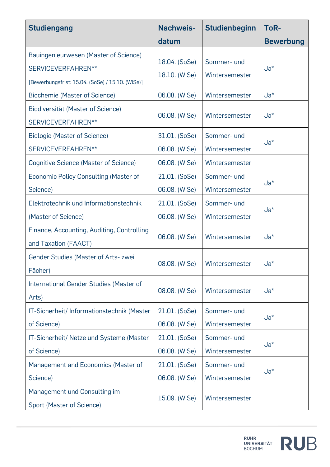| <b>Studiengang</b>                                                                                              | Nachweis-                      | Studienbeginn                 | ToR-             |  |
|-----------------------------------------------------------------------------------------------------------------|--------------------------------|-------------------------------|------------------|--|
|                                                                                                                 | datum                          |                               | <b>Bewerbung</b> |  |
| Bauingenieurwesen (Master of Science)<br>SERVICEVERFAHREN**<br>[Bewerbungsfrist: 15.04. (SoSe) / 15.10. (WiSe)] | 18.04. (SoSe)<br>18.10. (WiSe) | Sommer- und<br>Wintersemester | $Ja^*$           |  |
| Biochemie (Master of Science)                                                                                   | 06.08. (WiSe)                  | Wintersemester                | $Ja*$            |  |
| Biodiversität (Master of Science)<br>SERVICEVERFAHREN**                                                         | 06.08. (WiSe)                  | Wintersemester                | $Ja^*$           |  |
| <b>Biologie (Master of Science)</b>                                                                             | 31.01. (SoSe)                  | Sommer- und                   | $Ja^*$           |  |
| SERVICEVERFAHREN**                                                                                              | 06.08. (WiSe)                  | Wintersemester                |                  |  |
| Cognitive Science (Master of Science)                                                                           | 06.08. (WiSe)                  | Wintersemester                |                  |  |
| <b>Economic Policy Consulting (Master of</b>                                                                    | 21.01. (SoSe)                  | Sommer- und                   | $Ja^*$           |  |
| Science)                                                                                                        | 06.08. (WiSe)                  | Wintersemester                |                  |  |
| Elektrotechnik und Informationstechnik                                                                          | 21.01. (SoSe)                  | Sommer- und                   | $Ja^*$           |  |
| (Master of Science)                                                                                             | 06.08. (WiSe)                  | Wintersemester                |                  |  |
| Finance, Accounting, Auditing, Controlling<br>and Taxation (FAACT)                                              | 06.08. (WiSe)                  | Wintersemester                | $Ja^*$           |  |
| Gender Studies (Master of Arts- zwei<br>Fächer)                                                                 | 08.08. (WiSe)                  | Wintersemester                | $Ja^*$           |  |
| International Gender Studies (Master of<br>Arts)                                                                | 08.08. (WiSe)                  | Wintersemester                | $Ja^*$           |  |
| IT-Sicherheit/Informationstechnik (Master<br>of Science)                                                        | 21.01. (SoSe)<br>06.08. (WiSe) | Sommer- und<br>Wintersemester | $Ja^*$           |  |
| IT-Sicherheit/ Netze und Systeme (Master                                                                        | 21.01. (SoSe)                  | Sommer- und                   | $Ja^*$           |  |
| of Science)                                                                                                     | 06.08. (WiSe)                  | Wintersemester                |                  |  |
| Management and Economics (Master of                                                                             | 21.01. (SoSe)                  | Sommer- und                   | $Ja^*$           |  |
| Science)                                                                                                        | 06.08. (WiSe)                  | Wintersemester                |                  |  |
| Management und Consulting im<br>Sport (Master of Science)                                                       | 15.09. (WiSe)                  | Wintersemester                |                  |  |

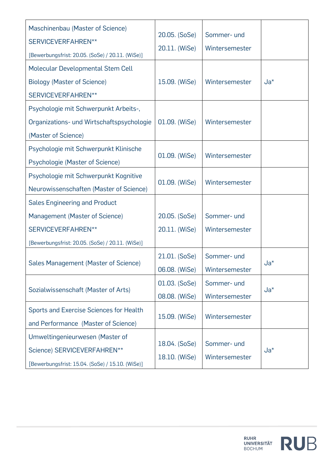| Maschinenbau (Master of Science)<br>SERVICEVERFAHREN**<br>[Bewerbungsfrist: 20.05. (SoSe) / 20.11. (WiSe)]                                       | 20.05. (SoSe)<br>20.11. (WiSe) | Sommer- und<br>Wintersemester |        |
|--------------------------------------------------------------------------------------------------------------------------------------------------|--------------------------------|-------------------------------|--------|
| <b>Molecular Developmental Stem Cell</b><br><b>Biology (Master of Science)</b><br>SERVICEVERFAHREN**                                             | 15.09. (WiSe)                  | Wintersemester                | $Ja^*$ |
| Psychologie mit Schwerpunkt Arbeits-,<br>Organizations- und Wirtschaftspsychologie<br>(Master of Science)                                        | 01.09. (WiSe)                  | Wintersemester                |        |
| Psychologie mit Schwerpunkt Klinische<br>Psychologie (Master of Science)                                                                         | 01.09. (WiSe)                  | Wintersemester                |        |
| Psychologie mit Schwerpunkt Kognitive<br>Neurowissenschaften (Master of Science)                                                                 | 01.09. (WiSe)                  | Wintersemester                |        |
| <b>Sales Engineering and Product</b><br>Management (Master of Science)<br>SERVICEVERFAHREN**<br>[Bewerbungsfrist: 20.05. (SoSe) / 20.11. (WiSe)] | 20.05. (SoSe)<br>20.11. (WiSe) | Sommer- und<br>Wintersemester |        |
| Sales Management (Master of Science)                                                                                                             | 21.01. (SoSe)<br>06.08. (WiSe) | Sommer- und<br>Wintersemester | $Ja^*$ |
| Sozialwissenschaft (Master of Arts)                                                                                                              | 01.03. (SoSe)<br>08.08. (WiSe) | Sommer- und<br>Wintersemester | $Ja^*$ |
| Sports and Exercise Sciences for Health<br>and Performance (Master of Science)                                                                   | 15.09. (WiSe)                  | Wintersemester                |        |
| Umweltingenieurwesen (Master of<br>Science) SERVICEVERFAHREN**<br>[Bewerbungsfrist: 15.04. (SoSe) / 15.10. (WiSe)]                               | 18.04. (SoSe)<br>18.10. (WiSe) | Sommer- und<br>Wintersemester | $Ja^*$ |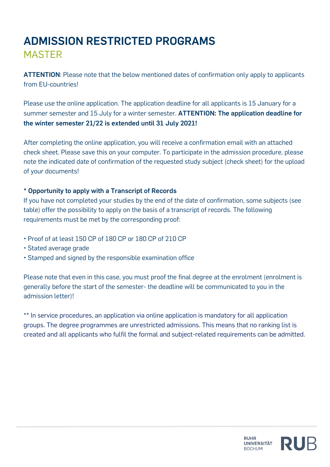## **ADMISSION RESTRICTED PROGRAMS**

MASTER

**ATTENTION**: Please note that the below mentioned dates of confirmation only apply to applicants from EU-countries!

Please use the online application. The application deadline for all applicants is 15 January for a summer semester and 15 July for a winter semester. **ATTENTION: The application deadline for the winter semester 21/22 is extended until 31 July 2021!**

After completing the online application, you will receive a confirmation email with an attached check sheet. Please save this on your computer. To participate in the admission procedure, please note the indicated date of confirmation of the requested study subject (check sheet) for the upload of your documents!

## **\* Opportunity to apply with a Transcript of Records**

If you have not completed your studies by the end of the date of confirmation, some subjects (see table) offer the possibility to apply on the basis of a transcript of records. The following requirements must be met by the corresponding proof:

- Proof of at least 150 CP of 180 CP or 180 CP of 210 CP
- Stated average grade
- Stamped and signed by the responsible examination office

Please note that even in this case, you must proof the final degree at the enrolment (enrolment is generally before the start of the semester- the deadline will be communicated to you in the admission letter)!

\*\* In service procedures, an application via online application is mandatory for all application groups. The degree programmes are unrestricted admissions. This means that no ranking list is created and all applicants who fulfil the formal and subject-related requirements can be admitted.

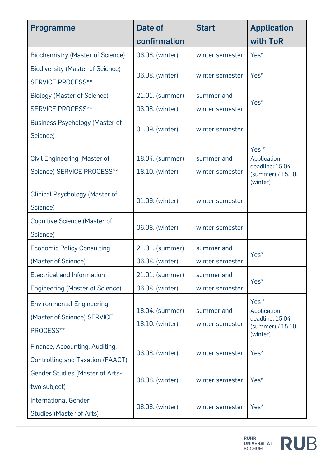| <b>Programme</b>                        | Date of         | <b>Start</b>                       | <b>Application</b>              |  |
|-----------------------------------------|-----------------|------------------------------------|---------------------------------|--|
|                                         | confirmation    |                                    | with ToR                        |  |
| <b>Biochemistry (Master of Science)</b> | 06.08. (winter) | winter semester                    | Yes <sup>*</sup>                |  |
| <b>Biodiversity (Master of Science)</b> |                 |                                    | Yes <sup>*</sup>                |  |
| <b>SERVICE PROCESS**</b>                |                 | 06.08. (winter)<br>winter semester |                                 |  |
| <b>Biology (Master of Science)</b>      | 21.01. (summer) | summer and                         | Yes <sup>*</sup>                |  |
| <b>SERVICE PROCESS**</b>                | 06.08. (winter) | winter semester                    |                                 |  |
| <b>Business Psychology (Master of</b>   |                 | winter semester                    |                                 |  |
| Science)                                | 01.09. (winter) |                                    |                                 |  |
|                                         |                 |                                    | Yes $*$                         |  |
| Civil Engineering (Master of            | 18.04. (summer) | summer and                         | Application<br>deadline: 15.04. |  |
| Science) SERVICE PROCESS**              | 18.10. (winter) | winter semester                    | (summer) / 15.10.<br>(winter)   |  |
| Clinical Psychology (Master of          |                 |                                    |                                 |  |
| Science)                                | 01.09. (winter) | winter semester                    |                                 |  |
| Cognitive Science (Master of            | 06.08. (winter) | winter semester                    |                                 |  |
| Science)                                |                 |                                    |                                 |  |
| <b>Economic Policy Consulting</b>       | 21.01. (summer) | summer and                         | Yes <sup>*</sup>                |  |
| (Master of Science)                     | 06.08. (winter) | winter semester                    |                                 |  |
| <b>Electrical and Information</b>       | 21.01. (summer) | summer and                         | Yes*                            |  |
| <b>Engineering (Master of Science)</b>  | 06.08. (winter) | winter semester                    |                                 |  |
| <b>Environmental Engineering</b>        |                 |                                    | Yes <sup>*</sup>                |  |
| (Master of Science) SERVICE             | 18.04. (summer) | summer and                         | Application<br>deadline: 15.04. |  |
| PROCESS**                               | 18.10. (winter) | winter semester                    | (summer) / 15.10.<br>(winter)   |  |
| Finance, Accounting, Auditing,          |                 |                                    |                                 |  |
| <b>Controlling and Taxation (FAACT)</b> | 06.08. (winter) | winter semester                    | Yes*                            |  |
| <b>Gender Studies (Master of Arts-</b>  | 08.08. (winter) | winter semester                    | Yes <sup>*</sup>                |  |
| two subject)                            |                 |                                    |                                 |  |
| <b>International Gender</b>             | 08.08. (winter) | winter semester                    | Yes <sup>*</sup>                |  |
| <b>Studies (Master of Arts)</b>         |                 |                                    |                                 |  |